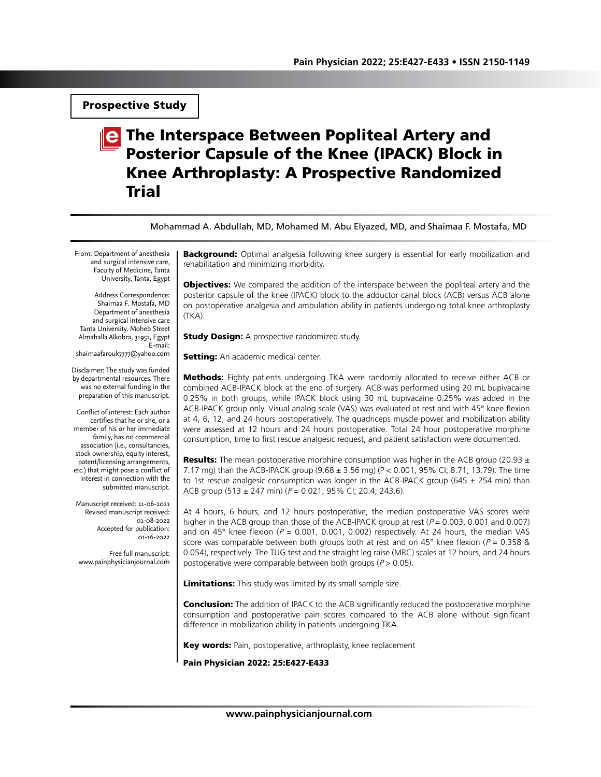Prospective Study

# **The Interspace Between Popliteal Artery and** Posterior Capsule of the Knee (IPACK) Block in Knee Arthroplasty: A Prospective Randomized Trial

Mohammad A. Abdullah, MD, Mohamed M. Abu Elyazed, MD, and Shaimaa F. Mostafa, MD

From: Department of anesthesia and surgical intensive care, Faculty of Medicine, Tanta University, Tanta, Egypt

Address Correspondence: Shaimaa F. Mostafa, MD Department of anesthesia and surgical intensive care Tanta University. Moheb Street Almahalla Alkobra, 31951, Egypt E-mail: shaimaafarouk7777@yahoo.com

Disclaimer: The study was funded by departmental resources. There was no external funding in the preparation of this manuscript.

Conflict of interest: Each author certifies that he or she, or a member of his or her immediate family, has no commercial association (i.e., consultancies, stock ownership, equity interest, patent/licensing arrangements, etc.) that might pose a conflict of interest in connection with the submitted manuscript.

Manuscript received: 11-06-2021 Revised manuscript received: 01-08-2022 Accepted for publication: 01-16-2022

Free full manuscript: www.painphysicianjournal.com **Background:** Optimal analgesia following knee surgery is essential for early mobilization and rehabilitation and minimizing morbidity.

**Objectives:** We compared the addition of the interspace between the popliteal artery and the posterior capsule of the knee (IPACK) block to the adductor canal block (ACB) versus ACB alone on postoperative analgesia and ambulation ability in patients undergoing total knee arthroplasty (TKA).

**Study Design:** A prospective randomized study.

**Setting:** An academic medical center.

**Methods:** Eighty patients undergoing TKA were randomly allocated to receive either ACB or combined ACB-IPACK block at the end of surgery. ACB was performed using 20 mL bupivacaine 0.25% in both groups, while IPACK block using 30 mL bupivacaine 0.25% was added in the ACB-IPACK group only. Visual analog scale (VAS) was evaluated at rest and with 45° knee flexion at 4, 6, 12, and 24 hours postoperatively. The quadriceps muscle power and mobilization ability were assessed at 12 hours and 24 hours postoperative. Total 24 hour postoperative morphine consumption, time to first rescue analgesic request, and patient satisfaction were documented.

**Results:** The mean postoperative morphine consumption was higher in the ACB group (20.93  $\pm$ 7.17 mg) than the ACB-IPACK group (9.68 ± 3.56 mg) (P < 0.001, 95% CI; 8.71; 13.79). The time to 1st rescue analgesic consumption was longer in the ACB-IPACK group (645  $\pm$  254 min) than ACB group (513  $\pm$  247 min) ( $P = 0.021$ , 95% CI; 20.4; 243.6).

At 4 hours, 6 hours, and 12 hours postoperative, the median postoperative VAS scores were higher in the ACB group than those of the ACB-IPACK group at rest ( $P = 0.003$ , 0.001 and 0.007) and on 45° knee flexion ( $P = 0.001$ , 0.001, 0.002) respectively. At 24 hours, the median VAS score was comparable between both groups both at rest and on 45° knee flexion ( $P = 0.358$  & 0.054), respectively. The TUG test and the straight leg raise (MRC) scales at 12 hours, and 24 hours postoperative were comparable between both groups ( $P > 0.05$ ).

Limitations: This study was limited by its small sample size.

**Conclusion:** The addition of IPACK to the ACB significantly reduced the postoperative morphine consumption and postoperative pain scores compared to the ACB alone without significant difference in mobilization ability in patients undergoing TKA.

Key words: Pain, postoperative, arthroplasty, knee replacement

Pain Physician 2022: 25:E427-E433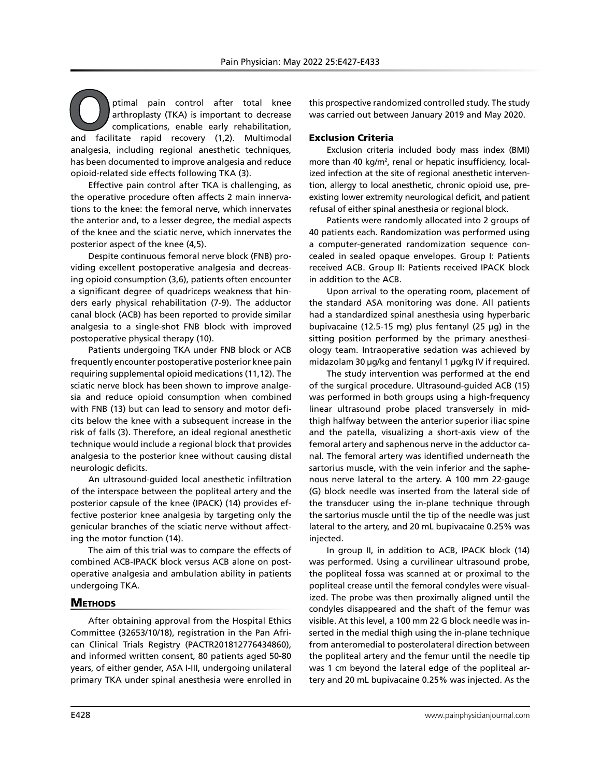**O**ptimal pain control after total knee arthroplasty (TKA) is important to decrease complications, enable early rehabilitation, and facilitate rapid recovery (1,2). Multimodal analgesia, including regional anesthetic techniques, has been documented to improve analgesia and reduce opioid-related side effects following TKA (3).

Effective pain control after TKA is challenging, as the operative procedure often affects 2 main innervations to the knee: the femoral nerve, which innervates the anterior and, to a lesser degree, the medial aspects of the knee and the sciatic nerve, which innervates the posterior aspect of the knee (4,5).

Despite continuous femoral nerve block (FNB) providing excellent postoperative analgesia and decreasing opioid consumption (3,6), patients often encounter a significant degree of quadriceps weakness that hinders early physical rehabilitation (7-9). The adductor canal block (ACB) has been reported to provide similar analgesia to a single-shot FNB block with improved postoperative physical therapy (10).

Patients undergoing TKA under FNB block or ACB frequently encounter postoperative posterior knee pain requiring supplemental opioid medications (11,12). The sciatic nerve block has been shown to improve analgesia and reduce opioid consumption when combined with FNB (13) but can lead to sensory and motor deficits below the knee with a subsequent increase in the risk of falls (3). Therefore, an ideal regional anesthetic technique would include a regional block that provides analgesia to the posterior knee without causing distal neurologic deficits.

An ultrasound-guided local anesthetic infiltration of the interspace between the popliteal artery and the posterior capsule of the knee (IPACK) (14) provides effective posterior knee analgesia by targeting only the genicular branches of the sciatic nerve without affecting the motor function (14).

The aim of this trial was to compare the effects of combined ACB-IPACK block versus ACB alone on postoperative analgesia and ambulation ability in patients undergoing TKA.

## **METHODS**

After obtaining approval from the Hospital Ethics Committee (32653/10/18), registration in the Pan African Clinical Trials Registry (PACTR201812776434860), and informed written consent, 80 patients aged 50-80 years, of either gender, ASA I-III, undergoing unilateral primary TKA under spinal anesthesia were enrolled in this prospective randomized controlled study. The study was carried out between January 2019 and May 2020.

#### Exclusion Criteria

Exclusion criteria included body mass index (BMI) more than 40 kg/m<sup>2</sup>, renal or hepatic insufficiency, localized infection at the site of regional anesthetic intervention, allergy to local anesthetic, chronic opioid use, preexisting lower extremity neurological deficit, and patient refusal of either spinal anesthesia or regional block.

Patients were randomly allocated into 2 groups of 40 patients each. Randomization was performed using a computer-generated randomization sequence concealed in sealed opaque envelopes. Group I: Patients received ACB. Group II: Patients received IPACK block in addition to the ACB.

Upon arrival to the operating room, placement of the standard ASA monitoring was done. All patients had a standardized spinal anesthesia using hyperbaric bupivacaine (12.5-15 mg) plus fentanyl (25 µg) in the sitting position performed by the primary anesthesiology team. Intraoperative sedation was achieved by midazolam 30 μg/kg and fentanyl 1 μg/kg IV if required.

The study intervention was performed at the end of the surgical procedure. Ultrasound-guided ACB (15) was performed in both groups using a high-frequency linear ultrasound probe placed transversely in midthigh halfway between the anterior superior iliac spine and the patella, visualizing a short-axis view of the femoral artery and saphenous nerve in the adductor canal. The femoral artery was identified underneath the sartorius muscle, with the vein inferior and the saphenous nerve lateral to the artery. A 100 mm 22-gauge (G) block needle was inserted from the lateral side of the transducer using the in-plane technique through the sartorius muscle until the tip of the needle was just lateral to the artery, and 20 mL bupivacaine 0.25% was injected.

In group II, in addition to ACB, IPACK block (14) was performed. Using a curvilinear ultrasound probe, the popliteal fossa was scanned at or proximal to the popliteal crease until the femoral condyles were visualized. The probe was then proximally aligned until the condyles disappeared and the shaft of the femur was visible. At this level, a 100 mm 22 G block needle was inserted in the medial thigh using the in-plane technique from anteromedial to posterolateral direction between the popliteal artery and the femur until the needle tip was 1 cm beyond the lateral edge of the popliteal artery and 20 mL bupivacaine 0.25% was injected. As the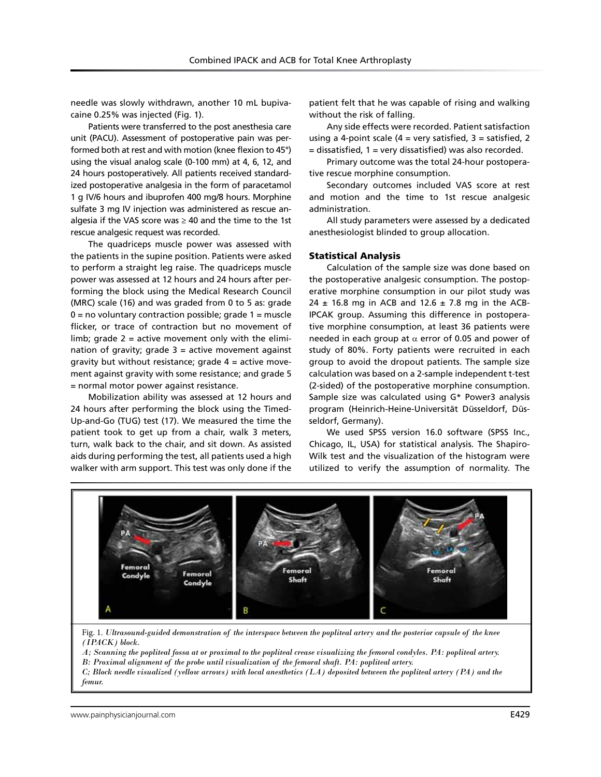needle was slowly withdrawn, another 10 mL bupivacaine 0.25% was injected (Fig. 1).

Patients were transferred to the post anesthesia care unit (PACU). Assessment of postoperative pain was performed both at rest and with motion (knee flexion to 45°) using the visual analog scale (0-100 mm) at 4, 6, 12, and 24 hours postoperatively. All patients received standardized postoperative analgesia in the form of paracetamol 1 g IV/6 hours and ibuprofen 400 mg/8 hours. Morphine sulfate 3 mg IV injection was administered as rescue analgesia if the VAS score was  $\geq$  40 and the time to the 1st rescue analgesic request was recorded.

The quadriceps muscle power was assessed with the patients in the supine position. Patients were asked to perform a straight leg raise. The quadriceps muscle power was assessed at 12 hours and 24 hours after performing the block using the Medical Research Council (MRC) scale (16) and was graded from 0 to 5 as: grade  $0 = no$  voluntary contraction possible; grade  $1 =$  muscle flicker, or trace of contraction but no movement of limb; grade 2 = active movement only with the elimination of gravity; grade  $3 =$  active movement against gravity but without resistance; grade  $4 =$  active movement against gravity with some resistance; and grade 5 = normal motor power against resistance.

Mobilization ability was assessed at 12 hours and 24 hours after performing the block using the Timed-Up-and-Go (TUG) test (17). We measured the time the patient took to get up from a chair, walk 3 meters, turn, walk back to the chair, and sit down. As assisted aids during performing the test, all patients used a high walker with arm support. This test was only done if the

patient felt that he was capable of rising and walking without the risk of falling.

Any side effects were recorded. Patient satisfaction using a 4-point scale ( $4$  = very satisfied,  $3$  = satisfied, 2 = dissatisfied, 1 = very dissatisfied) was also recorded.

Primary outcome was the total 24-hour postoperative rescue morphine consumption.

Secondary outcomes included VAS score at rest and motion and the time to 1st rescue analgesic administration.

All study parameters were assessed by a dedicated anesthesiologist blinded to group allocation.

#### Statistical Analysis

Calculation of the sample size was done based on the postoperative analgesic consumption. The postoperative morphine consumption in our pilot study was 24  $\pm$  16.8 mg in ACB and 12.6  $\pm$  7.8 mg in the ACB-IPCAK group. Assuming this difference in postoperative morphine consumption, at least 36 patients were needed in each group at  $\alpha$  error of 0.05 and power of study of 80%. Forty patients were recruited in each group to avoid the dropout patients. The sample size calculation was based on a 2-sample independent t-test (2-sided) of the postoperative morphine consumption. Sample size was calculated using G\* Power3 analysis program (Heinrich-Heine-Universität Düsseldorf, Düsseldorf, Germany).

We used SPSS version 16.0 software (SPSS Inc., Chicago, IL, USA) for statistical analysis. The Shapiro-Wilk test and the visualization of the histogram were utilized to verify the assumption of normality. The



Fig. 1. *Ultrasound-guided demonstration of the interspace between the popliteal artery and the posterior capsule of the knee (IPACK) block.*

*A; Scanning the popliteal fossa at or proximal to the popliteal crease visualizing the femoral condyles. PA: popliteal artery.*

*B: Proximal alignment of the probe until visualization of the femoral shaft. PA: popliteal artery.*

*C; Block needle visualized (yellow arrows) with local anesthetics (LA) deposited between the popliteal artery (PA) and the femur.*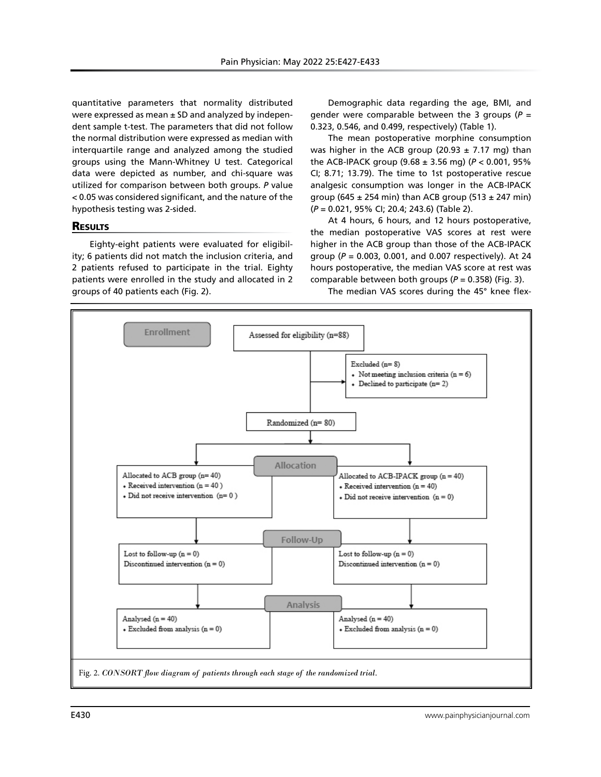quantitative parameters that normality distributed were expressed as mean  $\pm$  SD and analyzed by independent sample t-test. The parameters that did not follow the normal distribution were expressed as median with interquartile range and analyzed among the studied groups using the Mann-Whitney U test. Categorical data were depicted as number, and chi-square was utilized for comparison between both groups. *P* value < 0.05 was considered significant, and the nature of the hypothesis testing was 2-sided.

#### **RESULTS**

Eighty-eight patients were evaluated for eligibility; 6 patients did not match the inclusion criteria, and 2 patients refused to participate in the trial. Eighty patients were enrolled in the study and allocated in 2 groups of 40 patients each (Fig. 2).

Demographic data regarding the age, BMI, and gender were comparable between the 3 groups ( $P =$ 0.323, 0.546, and 0.499, respectively) (Table 1).

The mean postoperative morphine consumption was higher in the ACB group (20.93  $\pm$  7.17 mg) than the ACB-IPACK group (9.68 ± 3.56 mg) (*P* < 0.001, 95% CI; 8.71; 13.79). The time to 1st postoperative rescue analgesic consumption was longer in the ACB-IPACK group (645  $\pm$  254 min) than ACB group (513  $\pm$  247 min) (*P* = 0.021, 95% CI; 20.4; 243.6) (Table 2).

At 4 hours, 6 hours, and 12 hours postoperative, the median postoperative VAS scores at rest were higher in the ACB group than those of the ACB-IPACK group (*P* = 0.003, 0.001, and 0.007 respectively). At 24 hours postoperative, the median VAS score at rest was comparable between both groups (*P* = 0.358) (Fig. 3).

The median VAS scores during the 45° knee flex-

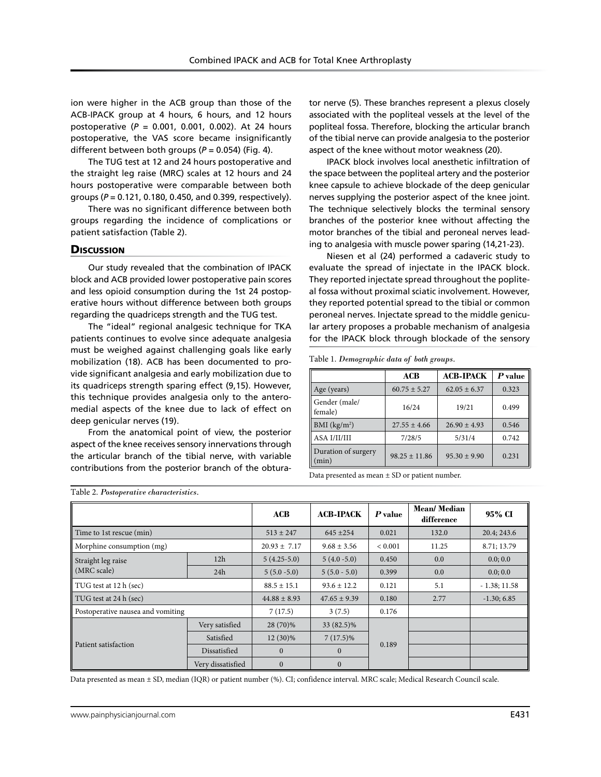ion were higher in the ACB group than those of the ACB-IPACK group at 4 hours, 6 hours, and 12 hours postoperative (*P* = 0.001, 0.001, 0.002). At 24 hours postoperative, the VAS score became insignificantly different between both groups ( $P = 0.054$ ) (Fig. 4).

The TUG test at 12 and 24 hours postoperative and the straight leg raise (MRC) scales at 12 hours and 24 hours postoperative were comparable between both groups (*P* = 0.121, 0.180, 0.450, and 0.399, respectively).

There was no significant difference between both groups regarding the incidence of complications or patient satisfaction (Table 2).

### **Discussion**

Our study revealed that the combination of IPACK block and ACB provided lower postoperative pain scores and less opioid consumption during the 1st 24 postoperative hours without difference between both groups regarding the quadriceps strength and the TUG test.

The "ideal" regional analgesic technique for TKA patients continues to evolve since adequate analgesia must be weighed against challenging goals like early mobilization (18). ACB has been documented to provide significant analgesia and early mobilization due to its quadriceps strength sparing effect (9,15). However, this technique provides analgesia only to the anteromedial aspects of the knee due to lack of effect on deep genicular nerves (19).

From the anatomical point of view, the posterior aspect of the knee receives sensory innervations through the articular branch of the tibial nerve, with variable contributions from the posterior branch of the obturator nerve (5). These branches represent a plexus closely associated with the popliteal vessels at the level of the popliteal fossa. Therefore, blocking the articular branch of the tibial nerve can provide analgesia to the posterior aspect of the knee without motor weakness (20).

IPACK block involves local anesthetic infiltration of the space between the popliteal artery and the posterior knee capsule to achieve blockade of the deep genicular nerves supplying the posterior aspect of the knee joint. The technique selectively blocks the terminal sensory branches of the posterior knee without affecting the motor branches of the tibial and peroneal nerves leading to analgesia with muscle power sparing (14,21-23).

Niesen et al (24) performed a cadaveric study to evaluate the spread of injectate in the IPACK block. They reported injectate spread throughout the popliteal fossa without proximal sciatic involvement. However, they reported potential spread to the tibial or common peroneal nerves. Injectate spread to the middle genicular artery proposes a probable mechanism of analgesia for the IPACK block through blockade of the sensory

Table 1. *Demographic data of both groups.*

|                              | ACB               | <b>ACB-IPACK</b> | P value |
|------------------------------|-------------------|------------------|---------|
| Age (years)                  | $60.75 \pm 5.27$  | $62.05 \pm 6.37$ | 0.323   |
| Gender (male/<br>female)     | 16/24             | 19/21            | 0.499   |
| BMI $(kg/m2)$                | $27.55 \pm 4.66$  | $26.90 \pm 4.93$ | 0.546   |
| ASA I/II/III                 | 7/28/5            | 5/31/4           | 0.742   |
| Duration of surgery<br>(min) | $98.25 \pm 11.86$ | $95.30 \pm 9.90$ | 0.231   |

Data presented as mean  $\pm$  SD or patient number.

| Table 2. Postoperative characteristics. |                   |                  |                  |             |                           |                |  |  |
|-----------------------------------------|-------------------|------------------|------------------|-------------|---------------------------|----------------|--|--|
|                                         |                   | ACB              | <b>ACB-IPACK</b> | $P$ value   | Mean/Median<br>difference | 95% CI         |  |  |
| Time to 1st rescue (min)                |                   | $513 \pm 247$    | $645 + 254$      | 0.021       | 132.0                     | 20.4; 243.6    |  |  |
| Morphine consumption (mg)               |                   | $20.93 \pm 7.17$ | $9.68 \pm 3.56$  | ${}< 0.001$ | 11.25                     | 8.71; 13.79    |  |  |
| Straight leg raise<br>(MRC scale)       | 12h               | $5(4.25-5.0)$    | $5(4.0 - 5.0)$   | 0.450       | 0.0                       | 0.0; 0.0       |  |  |
|                                         | 24h               | $5(5.0 - 5.0)$   | $5(5.0 - 5.0)$   | 0.399       | 0.0                       | 0.0; 0.0       |  |  |
| TUG test at 12 h (sec)                  |                   | $88.5 \pm 15.1$  | $93.6 \pm 12.2$  | 0.121       | 5.1                       | $-1.38; 11.58$ |  |  |
| TUG test at 24 h (sec)                  |                   | $44.88 \pm 8.93$ | $47.65 + 9.39$   | 0.180       | 2.77                      | $-1.30; 6.85$  |  |  |
| Postoperative nausea and vomiting       |                   | 7(17.5)          | 3(7.5)           | 0.176       |                           |                |  |  |
| Patient satisfaction                    | Very satisfied    | 28 (70)%         | 33 (82.5)%       | 0.189       |                           |                |  |  |
|                                         | Satisfied         | $12(30)\%$       | $7(17.5)\%$      |             |                           |                |  |  |
|                                         | Dissatisfied      | $\mathbf{0}$     | $\mathbf{0}$     |             |                           |                |  |  |
|                                         | Very dissatisfied | $\mathbf{0}$     | $\Omega$         |             |                           |                |  |  |

Data presented as mean ± SD, median (IQR) or patient number (%). CI; confidence interval. MRC scale; Medical Research Council scale.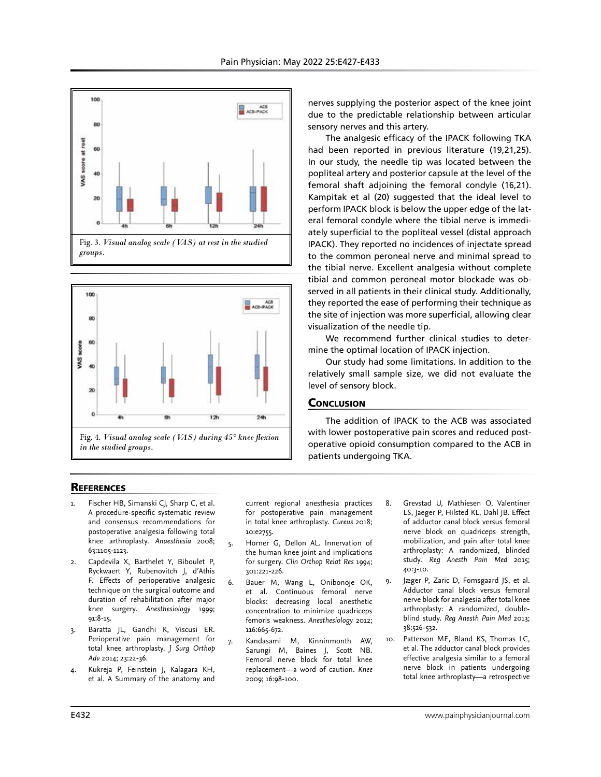





nerves supplying the posterior aspect of the knee joint due to the predictable relationship between articular sensory nerves and this artery.

The analgesic efficacy of the IPACK following TKA had been reported in previous literature (19,21,25). In our study, the needle tip was located between the popliteal artery and posterior capsule at the level of the femoral shaft adjoining the femoral condyle (16,21). Kampitak et al (20) suggested that the ideal level to perform IPACK block is below the upper edge of the lateral femoral condyle where the tibial nerve is immediately superficial to the popliteal vessel (distal approach IPACK). They reported no incidences of injectate spread to the common peroneal nerve and minimal spread to the tibial nerve. Excellent analgesia without complete tibial and common peroneal motor blockade was observed in all patients in their clinical study. Additionally, they reported the ease of performing their technique as the site of injection was more superficial, allowing clear visualization of the needle tip.

We recommend further clinical studies to determine the optimal location of IPACK injection.

Our study had some limitations. In addition to the relatively small sample size, we did not evaluate the level of sensory block.

# **CONCLUSION**

The addition of IPACK to the ACB was associated with lower postoperative pain scores and reduced postoperative opioid consumption compared to the ACB in patients undergoing TKA.

# **REFERENCES**

- 1. Fischer HB, Simanski CJ, Sharp C, et al. A procedure-specific systematic review and consensus recommendations for postoperative analgesia following total knee arthroplasty. *Anaesthesia* 2008; 63:1105-1123.
- Capdevila X, Barthelet Y, Biboulet P, Ryckwaert Y, Rubenovitch J, d'Athis F. Effects of perioperative analgesic technique on the surgical outcome and duration of rehabilitation after major knee surgery. *Anesthesiology* 1999; 91:8-15.
- 3. Baratta JL, Gandhi K, Viscusi ER. Perioperative pain management for total knee arthroplasty. *J Surg Orthop Adv* 2014; 23:22-36.
- 4. Kukreja P, Feinstein J, Kalagara KH, et al. A Summary of the anatomy and

current regional anesthesia practices for postoperative pain management in total knee arthroplasty. *Cureus* 2018; 10:e2755.

- 5. Horner G, Dellon AL. Innervation of the human knee joint and implications for surgery. *Clin Orthop Relat Res* 1994; 301:221-226.
- 6. Bauer M, Wang L, Onibonoje OK, et al. Continuous femoral nerve blocks: decreasing local anesthetic concentration to minimize quadriceps femoris weakness. *Anesthesiology* 2012; 116:665-672.
- 7. Kandasami M, Kinninmonth AW, Sarungi M, Baines J, Scott NB. Femoral nerve block for total knee replacement—a word of caution. *Knee* 2009; 16:98-100.
- 8. Grevstad U, Mathiesen O, Valentiner LS, Jaeger P, Hilsted KL, Dahl JB. Effect of adductor canal block versus femoral nerve block on quadriceps strength, mobilization, and pain after total knee arthroplasty: A randomized, blinded study. *Reg Anesth Pain Med* 2015; 40:3-10.
- 9. Jæger P, Zaric D, Fomsgaard JS, et al. Adductor canal block versus femoral nerve block for analgesia after total knee arthroplasty: A randomized, doubleblind study. *Reg Anesth Pain Med* 2013; 38:526-532.
- 10. Patterson ME, Bland KS, Thomas LC, et al. The adductor canal block provides effective analgesia similar to a femoral nerve block in patients undergoing total knee arthroplasty—a retrospective